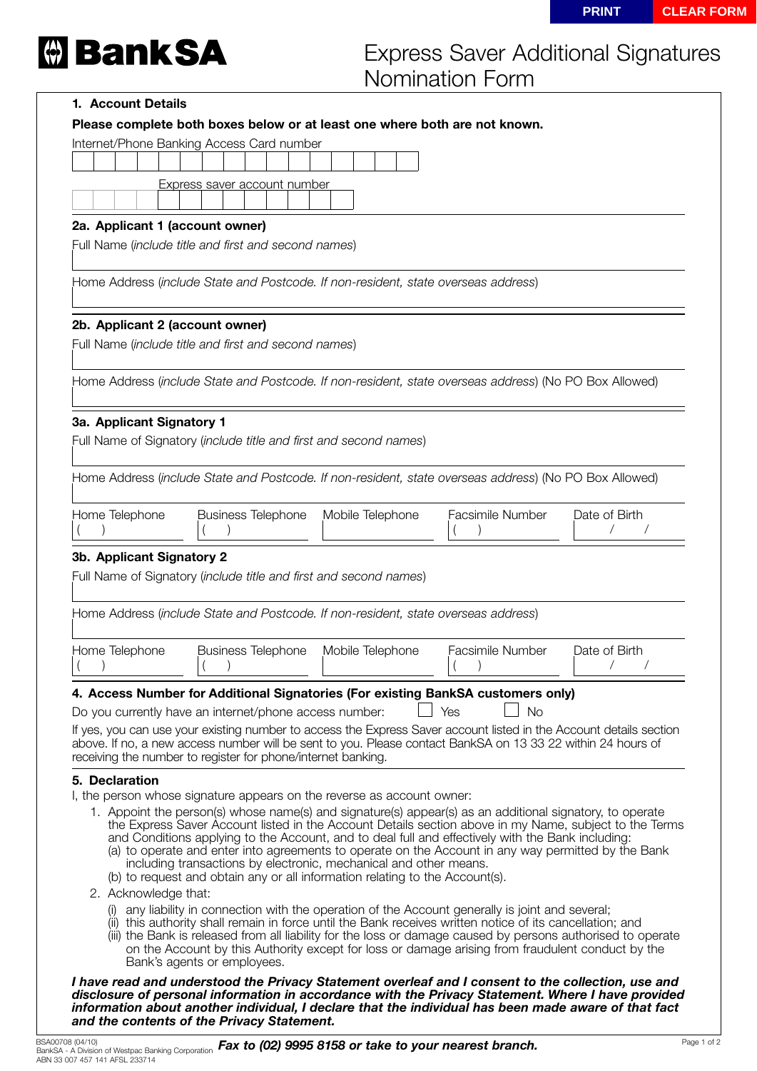

# Express Saver Additional Signatures Nomination Form

# **1. Account Details**

|                                 | <b>W</b> BankSA                                                                                                                                                                                                                   |                  | Nomination Form  | <b>Express Saver Additional Signatures</b> |
|---------------------------------|-----------------------------------------------------------------------------------------------------------------------------------------------------------------------------------------------------------------------------------|------------------|------------------|--------------------------------------------|
|                                 |                                                                                                                                                                                                                                   |                  |                  |                                            |
| 1. Account Details              |                                                                                                                                                                                                                                   |                  |                  |                                            |
|                                 | Please complete both boxes below or at least one where both are not known.<br>Internet/Phone Banking Access Card number                                                                                                           |                  |                  |                                            |
|                                 |                                                                                                                                                                                                                                   |                  |                  |                                            |
|                                 | Express saver account number                                                                                                                                                                                                      |                  |                  |                                            |
|                                 |                                                                                                                                                                                                                                   |                  |                  |                                            |
| 2a. Applicant 1 (account owner) |                                                                                                                                                                                                                                   |                  |                  |                                            |
|                                 | Full Name (include title and first and second names)                                                                                                                                                                              |                  |                  |                                            |
|                                 | Home Address (include State and Postcode. If non-resident, state overseas address)                                                                                                                                                |                  |                  |                                            |
|                                 |                                                                                                                                                                                                                                   |                  |                  |                                            |
| 2b. Applicant 2 (account owner) |                                                                                                                                                                                                                                   |                  |                  |                                            |
|                                 | Full Name (include title and first and second names)                                                                                                                                                                              |                  |                  |                                            |
|                                 | Home Address (include State and Postcode. If non-resident, state overseas address) (No PO Box Allowed)                                                                                                                            |                  |                  |                                            |
|                                 |                                                                                                                                                                                                                                   |                  |                  |                                            |
| 3a. Applicant Signatory 1       |                                                                                                                                                                                                                                   |                  |                  |                                            |
|                                 | Full Name of Signatory (include title and first and second names)                                                                                                                                                                 |                  |                  |                                            |
|                                 |                                                                                                                                                                                                                                   |                  |                  |                                            |
|                                 | Home Address (include State and Postcode. If non-resident, state overseas address) (No PO Box Allowed)                                                                                                                            |                  |                  |                                            |
| Home Telephone                  | Business Telephone                                                                                                                                                                                                                | Mobile Telephone | Facsimile Number | Date of Birth                              |
|                                 |                                                                                                                                                                                                                                   |                  |                  |                                            |
| 3b. Applicant Signatory 2       |                                                                                                                                                                                                                                   |                  |                  |                                            |
|                                 | Full Name of Signatory (include title and first and second names)                                                                                                                                                                 |                  |                  |                                            |
|                                 | Home Address (include State and Postcode. If non-resident, state overseas address)                                                                                                                                                |                  |                  |                                            |
|                                 |                                                                                                                                                                                                                                   |                  |                  |                                            |
|                                 | <b>Business Telephone</b>                                                                                                                                                                                                         | Mobile Telephone | Facsimile Number | Date of Birth                              |
| Home Telephone                  |                                                                                                                                                                                                                                   |                  |                  | $\sqrt{2}$                                 |
|                                 |                                                                                                                                                                                                                                   |                  |                  |                                            |
|                                 | 4. Access Number for Additional Signatories (For existing BankSA customers only)                                                                                                                                                  |                  |                  |                                            |
|                                 | Do you currently have an internet/phone access number:                                                                                                                                                                            |                  | Yes<br><b>No</b> |                                            |
|                                 | If yes, you can use your existing number to access the Express Saver account listed in the Account details section<br>above. If no, a new access number will be sent to you. Please contact BankSA on 13 33 22 within 24 hours of |                  |                  |                                            |
|                                 | receiving the number to register for phone/internet banking.                                                                                                                                                                      |                  |                  |                                            |
| 5. Declaration                  |                                                                                                                                                                                                                                   |                  |                  |                                            |
|                                 | I, the person whose signature appears on the reverse as account owner:                                                                                                                                                            |                  |                  |                                            |
|                                 | 1. Appoint the person(s) whose name(s) and signature(s) appear(s) as an additional signatory, to operate<br>the Express Saver Account listed in the Account Details section above in my Name, subject to the Terms                |                  |                  |                                            |
|                                 | and Conditions applying to the Account, and to deal full and effectively with the Bank including:                                                                                                                                 |                  |                  |                                            |
|                                 | (a) to operate and enter into agreements to operate on the Account in any way permitted by the Bank<br>including transactions by electronic, mechanical and other means.                                                          |                  |                  |                                            |
|                                 | (b) to request and obtain any or all information relating to the Account(s).                                                                                                                                                      |                  |                  |                                            |
| 2. Acknowledge that:            | (i) any liability in connection with the operation of the Account generally is joint and several;                                                                                                                                 |                  |                  |                                            |
|                                 | (ii) this authority shall remain in force until the Bank receives written notice of its cancellation; and                                                                                                                         |                  |                  |                                            |
|                                 | (iii) the Bank is released from all liability for the loss or damage caused by persons authorised to operate<br>on the Account by this Authority except for loss or damage arising from fraudulent conduct by the                 |                  |                  |                                            |
|                                 | Bank's agents or employees.                                                                                                                                                                                                       |                  |                  |                                            |
|                                 | I have read and understood the Privacy Statement overleaf and I consent to the collection, use and<br>disclosure of personal information in accordance with the Privacy Statement. Where I have provided                          |                  |                  |                                            |